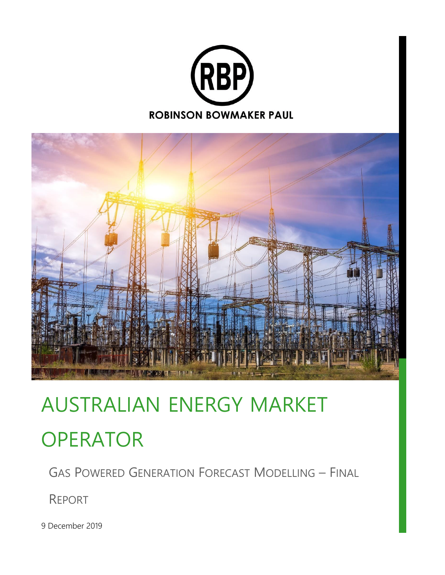



# AUSTRALIAN ENERGY MARKET **OPERATOR**

GAS POWERED GENERATION FORECAST MODELLING – FINAL

REPORT

9 December 2019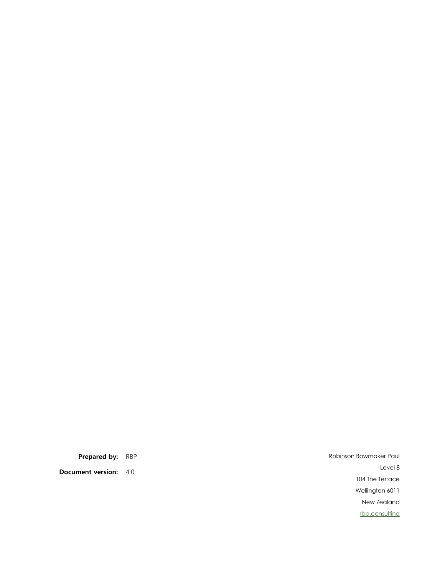**Document version:** 4.0

**Prepared by:** RBP Robinson Bowmaker Paul Level 8 104 The Terrace Wellington 6011 New Zealand [rbp.consulting](https://rbp.consulting/)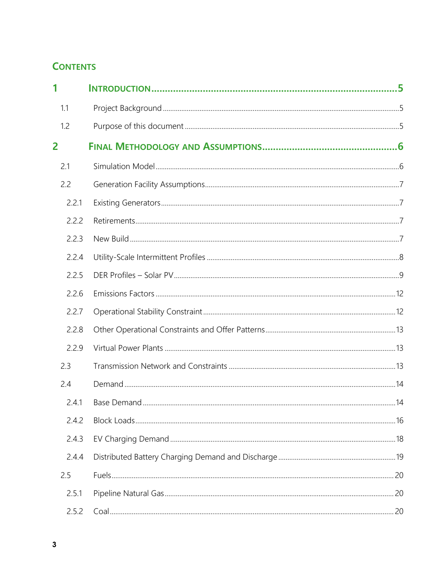## **CONTENTS**

| 1     |  |
|-------|--|
| 1.1   |  |
| 1.2   |  |
| 2     |  |
| 2.1   |  |
| 2.2   |  |
| 2.2.1 |  |
| 2.2.2 |  |
| 2.2.3 |  |
| 2.2.4 |  |
| 2.2.5 |  |
| 2.2.6 |  |
| 2.2.7 |  |
| 2.2.8 |  |
| 2.2.9 |  |
| 2.3   |  |
| 2.4   |  |
| 2.4.1 |  |
| 2.4.2 |  |
| 2.4.3 |  |
| 2.4.4 |  |
| 2.5   |  |
| 2.5.1 |  |
| 2.5.2 |  |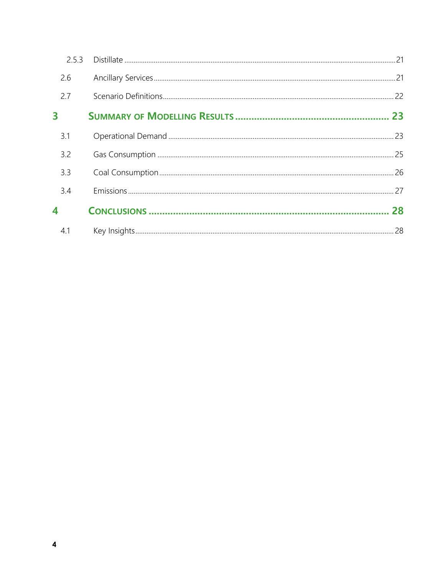| 2.5.3 |    |
|-------|----|
| 2.6   |    |
| 2.7   |    |
| 3     |    |
| 3.1   |    |
| 3.2   |    |
| 3.3   |    |
| 3.4   |    |
| 4     | 28 |
| 4.1   |    |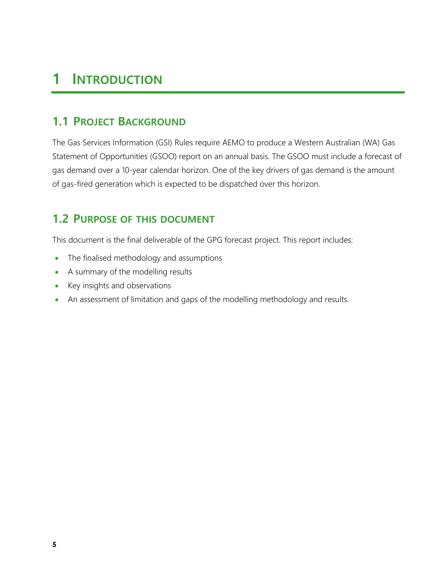## <span id="page-4-0"></span>**1 INTRODUCTION**

## <span id="page-4-1"></span>**1.1 PROJECT BACKGROUND**

The Gas Services Information (GSI) Rules require AEMO to produce a Western Australian (WA) Gas Statement of Opportunities (GSOO) report on an annual basis. The GSOO must include a forecast of gas demand over a 10-year calendar horizon. One of the key drivers of gas demand is the amount of gas-fired generation which is expected to be dispatched over this horizon.

## <span id="page-4-2"></span>**1.2 PURPOSE OF THIS DOCUMENT**

This document is the final deliverable of the GPG forecast project. This report includes:

- The finalised methodology and assumptions
- A summary of the modelling results
- Key insights and observations
- An assessment of limitation and gaps of the modelling methodology and results.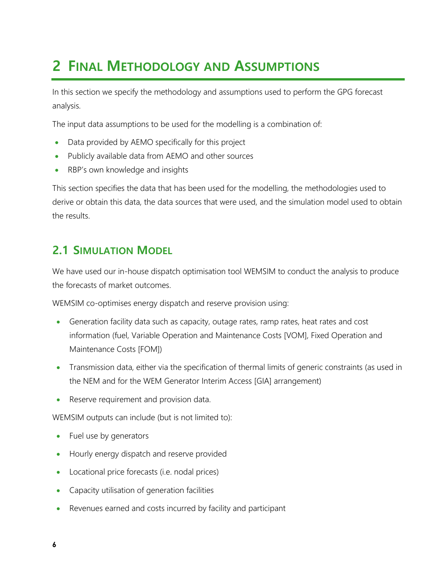## <span id="page-5-0"></span>**2 FINAL METHODOLOGY AND ASSUMPTIONS**

In this section we specify the methodology and assumptions used to perform the GPG forecast analysis.

The input data assumptions to be used for the modelling is a combination of:

- Data provided by AEMO specifically for this project
- Publicly available data from AEMO and other sources
- RBP's own knowledge and insights

This section specifies the data that has been used for the modelling, the methodologies used to derive or obtain this data, the data sources that were used, and the simulation model used to obtain the results.

### <span id="page-5-1"></span>**2.1 SIMULATION MODEL**

We have used our in-house dispatch optimisation tool WEMSIM to conduct the analysis to produce the forecasts of market outcomes.

WEMSIM co-optimises energy dispatch and reserve provision using:

- Generation facility data such as capacity, outage rates, ramp rates, heat rates and cost information (fuel, Variable Operation and Maintenance Costs [VOM], Fixed Operation and Maintenance Costs [FOM])
- Transmission data, either via the specification of thermal limits of generic constraints (as used in the NEM and for the WEM Generator Interim Access [GIA] arrangement)
- Reserve requirement and provision data.

WEMSIM outputs can include (but is not limited to):

- Fuel use by generators
- Hourly energy dispatch and reserve provided
- Locational price forecasts (i.e. nodal prices)
- Capacity utilisation of generation facilities
- Revenues earned and costs incurred by facility and participant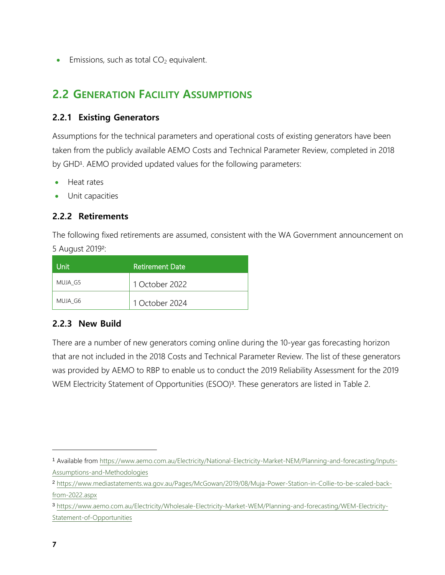<span id="page-6-0"></span>• Emissions, such as total  $CO<sub>2</sub>$  equivalent.

## **2.2 GENERATION FACILITY ASSUMPTIONS**

#### <span id="page-6-1"></span>**2.2.1 Existing Generators**

Assumptions for the technical parameters and operational costs of existing generators have been taken from the publicly available AEMO Costs and Technical Parameter Review, completed in 2018 by GHD<sup>1</sup>. AEMO provided updated values for the following parameters:

- Heat rates
- Unit capacities

#### <span id="page-6-2"></span>**2.2.2 Retirements**

The following fixed retirements are assumed, consistent with the WA Government announcement on 5 August 2019<sup>2</sup> :

| Unit    | Retirement Date |
|---------|-----------------|
| MUJA G5 | 1 October 2022  |
| MUJA G6 | 1 October 2024  |

#### <span id="page-6-3"></span>**2.2.3 New Build**

There are a number of new generators coming online during the 10-year gas forecasting horizon that are not included in the 2018 Costs and Technical Parameter Review. The list of these generators was provided by AEMO to RBP to enable us to conduct the 2019 Reliability Assessment for the 2019 WEM Electricity Statement of Opportunities (ESOO)<sup>3</sup>. These generators are listed in Table 2.

<sup>1</sup> Available from [https://www.aemo.com.au/Electricity/National-Electricity-Market-NEM/Planning-and-forecasting/Inputs-](https://www.aemo.com.au/Electricity/National-Electricity-Market-NEM/Planning-and-forecasting/Inputs-Assumptions-and-Methodologies)[Assumptions-and-Methodologies](https://www.aemo.com.au/Electricity/National-Electricity-Market-NEM/Planning-and-forecasting/Inputs-Assumptions-and-Methodologies)

<sup>2</sup> [https://www.mediastatements.wa.gov.au/Pages/McGowan/2019/08/Muja-Power-Station-in-Collie-to-be-scaled-back](https://www.mediastatements.wa.gov.au/Pages/McGowan/2019/08/Muja-Power-Station-in-Collie-to-be-scaled-back-from-2022.aspx)[from-2022.aspx](https://www.mediastatements.wa.gov.au/Pages/McGowan/2019/08/Muja-Power-Station-in-Collie-to-be-scaled-back-from-2022.aspx)

<sup>3</sup> [https://www.aemo.com.au/Electricity/Wholesale-Electricity-Market-WEM/Planning-and-forecasting/WEM-Electricity-](https://www.aemo.com.au/Electricity/Wholesale-Electricity-Market-WEM/Planning-and-forecasting/WEM-Electricity-Statement-of-Opportunities)[Statement-of-Opportunities](https://www.aemo.com.au/Electricity/Wholesale-Electricity-Market-WEM/Planning-and-forecasting/WEM-Electricity-Statement-of-Opportunities)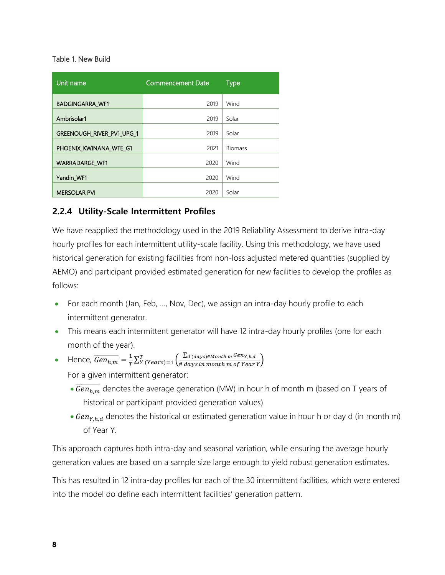#### Table 1. New Build

| Unit name                 | <b>Commencement Date</b> | <b>Type</b>    |
|---------------------------|--------------------------|----------------|
| <b>BADGINGARRA WF1</b>    | 2019                     | Wind           |
| Ambrisolar1               | 2019                     | Solar          |
| GREENOUGH_RIVER_PV1_UPG_1 | 2019                     | Solar          |
| PHOENIX_KWINANA_WTE_G1    | 2021                     | <b>Biomass</b> |
| <b>WARRADARGE WF1</b>     | 2020                     | Wind           |
| Yandin WF1                | 2020                     | Wind           |
| <b>MERSOLAR PVI</b>       | 2020                     | Solar          |

#### <span id="page-7-0"></span>**2.2.4 Utility-Scale Intermittent Profiles**

We have reapplied the methodology used in the 2019 Reliability Assessment to derive intra-day hourly profiles for each intermittent utility-scale facility. Using this methodology, we have used historical generation for existing facilities from non-loss adjusted metered quantities (supplied by AEMO) and participant provided estimated generation for new facilities to develop the profiles as follows:

- For each month (Jan, Feb, ..., Nov, Dec), we assign an intra-day hourly profile to each intermittent generator.
- This means each intermittent generator will have 12 intra-day hourly profiles (one for each month of the year).
- Hence,  $\overline{Gen_{h,m}} = \frac{1}{r}$  $\frac{1}{T}\sum_{Y}^{T}(years) = 1\left(\frac{\sum_{d}(days) \in Month\ m}\frac{Gen_{Y,h,d}}{\sum_{d}days\ in\ month\ m\ of\ Year}\right)$  $\int_{Y}^{T}(Years)=1\left(\frac{2d\,(days)\in\,m\,th\,m\,Gen_{Y,h,d}}{\#\,days\,in\,m\,on\,th\,m\,of\,Year\,\gamma}\right).$ For a given intermittent generator:
	- $\overline{\text{Gen}_{h,m}}$  denotes the average generation (MW) in hour h of month m (based on T years of historical or participant provided generation values)
	- Gen<sub>Y, h, d</sub> denotes the historical or estimated generation value in hour h or day d (in month m) of Year Y.

This approach captures both intra-day and seasonal variation, while ensuring the average hourly generation values are based on a sample size large enough to yield robust generation estimates.

This has resulted in 12 intra-day profiles for each of the 30 intermittent facilities, which were entered into the model do define each intermittent facilities' generation pattern.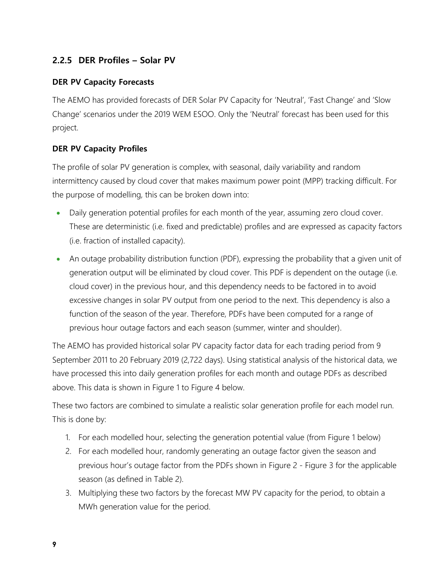#### <span id="page-8-0"></span>**2.2.5 DER Profiles – Solar PV**

#### **DER PV Capacity Forecasts**

The AEMO has provided forecasts of DER Solar PV Capacity for 'Neutral', 'Fast Change' and 'Slow Change' scenarios under the 2019 WEM ESOO. Only the 'Neutral' forecast has been used for this project.

#### **DER PV Capacity Profiles**

The profile of solar PV generation is complex, with seasonal, daily variability and random intermittency caused by cloud cover that makes maximum power point (MPP) tracking difficult. For the purpose of modelling, this can be broken down into:

- Daily generation potential profiles for each month of the year, assuming zero cloud cover. These are deterministic (i.e. fixed and predictable) profiles and are expressed as capacity factors (i.e. fraction of installed capacity).
- An outage probability distribution function (PDF), expressing the probability that a given unit of generation output will be eliminated by cloud cover. This PDF is dependent on the outage (i.e. cloud cover) in the previous hour, and this dependency needs to be factored in to avoid excessive changes in solar PV output from one period to the next. This dependency is also a function of the season of the year. Therefore, PDFs have been computed for a range of previous hour outage factors and each season (summer, winter and shoulder).

The AEMO has provided historical solar PV capacity factor data for each trading period from 9 September 2011 to 20 February 2019 (2,722 days). Using statistical analysis of the historical data, we have processed this into daily generation profiles for each month and outage PDFs as described above. This data is shown in [Figure 1](#page-9-0) to Figure 4 below.

These two factors are combined to simulate a realistic solar generation profile for each model run. This is done by:

- 1. For each modelled hour, selecting the generation potential value (from [Figure 1](#page-9-0) below)
- 2. For each modelled hour, randomly generating an outage factor given the season and previous hour's outage factor from the PDFs shown in Figure 2 - [Figure 3](#page-10-0) for the applicable season (as defined in [Table 2\)](#page-9-1).
- 3. Multiplying these two factors by the forecast MW PV capacity for the period, to obtain a MWh generation value for the period.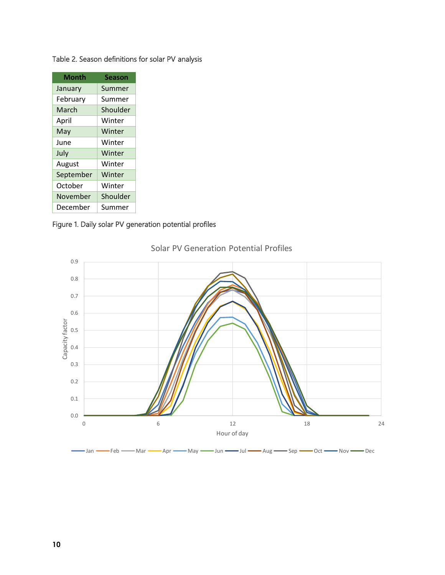| Month     | Season   |
|-----------|----------|
| January   | Summer   |
| February  | Summer   |
| March     | Shoulder |
| April     | Winter   |
| May       | Winter   |
| June      | Winter   |
| July      | Winter   |
| August    | Winter   |
| September | Winter   |
| October   | Winter   |
| November  | Shoulder |
| December  | Summer   |

#### <span id="page-9-1"></span>Table 2. Season definitions for solar PV analysis

#### <span id="page-9-0"></span>Figure 1. Daily solar PV generation potential profiles



#### Solar PV Generation Potential Profiles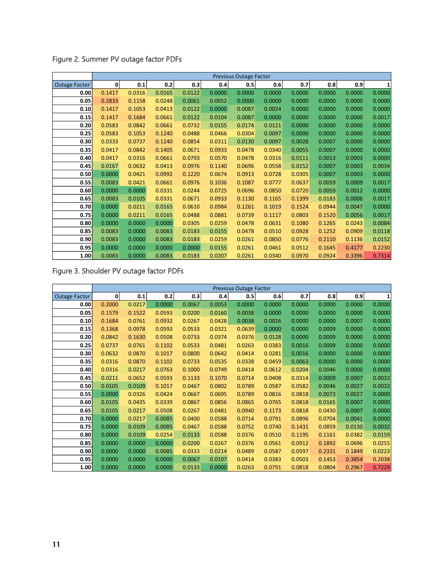|                      | Previous Outage Factor |        |        |        |        |        |        |        |        |        |        |
|----------------------|------------------------|--------|--------|--------|--------|--------|--------|--------|--------|--------|--------|
| <b>Outage Factor</b> | $\mathbf{0}$           | 0.1    | 0.2    | 0.3    | 0.4    | 0.5    | 0.6    | 0.7    | 0.8    | 0.9    | 1      |
| 0.00                 | 0.1417                 | 0.0316 | 0.0165 | 0.0122 | 0.0000 | 0.0000 | 0.0000 | 0.0000 | 0.0000 | 0.0000 | 0.0000 |
| 0.05                 | 0.2833                 | 0.1158 | 0.0248 | 0.0061 | 0.0052 | 0.0000 | 0.0000 | 0.0000 | 0.0000 | 0.0000 | 0.0000 |
| 0.10                 | 0.1417                 | 0.1053 | 0.0413 | 0.0122 | 0.0000 | 0.0087 | 0.0024 | 0.0000 | 0.0000 | 0.0000 | 0.0000 |
| 0.15                 | 0.1417                 | 0.1684 | 0.0661 | 0.0122 | 0.0104 | 0.0087 | 0.0000 | 0.0000 | 0.0000 | 0.0000 | 0.0017 |
| 0.20                 | 0.0583                 | 0.0842 | 0.0661 | 0.0732 | 0.0155 | 0.0174 | 0.0121 | 0.0000 | 0.0000 | 0.0000 | 0.0000 |
| 0.25                 | 0.0583                 | 0.1053 | 0.1240 | 0.0488 | 0.0466 | 0.0304 | 0.0097 | 0.0000 | 0.0000 | 0.0000 | 0.0000 |
| 0.30                 | 0.0333                 | 0.0737 | 0.1240 | 0.0854 | 0.0311 | 0.0130 | 0.0097 | 0.0028 | 0.0007 | 0.0000 | 0.0000 |
| 0.35                 | 0.0417                 | 0.0842 | 0.1405 | 0.0671 | 0.0933 | 0.0478 | 0.0340 | 0.0055 | 0.0007 | 0.0000 | 0.0000 |
| 0.40                 | 0.0417                 | 0.0316 | 0.0661 | 0.0793 | 0.0570 | 0.0478 | 0.0316 | 0.0111 | 0.0013 | 0.0003 | 0.0000 |
| 0.45                 | 0.0167                 | 0.0632 | 0.0413 | 0.0976 | 0.1140 | 0.0696 | 0.0558 | 0.0152 | 0.0007 | 0.0003 | 0.0034 |
| 0.50                 | 0.0000                 | 0.0421 | 0.0992 | 0.1220 | 0.0674 | 0.0913 | 0.0728 | 0.0305 | 0.0007 | 0.0003 | 0.0000 |
| 0.55                 | 0.0083                 | 0.0421 | 0.0661 | 0.0976 | 0.1036 | 0.1087 | 0.0777 | 0.0637 | 0.0059 | 0.0009 | 0.0017 |
| 0.60                 | 0.0000                 | 0.0000 | 0.0331 | 0.0244 | 0.0725 | 0.0696 | 0.0850 | 0.0720 | 0.0059 | 0.0012 | 0.0000 |
| 0.65                 | 0.0083                 | 0.0105 | 0.0331 | 0.0671 | 0.0933 | 0.1130 | 0.1165 | 0.1399 | 0.0183 | 0.0006 | 0.0017 |
| 0.70                 | 0.0000                 | 0.0211 | 0.0165 | 0.0610 | 0.0984 | 0.1261 | 0.1019 | 0.1524 | 0.0944 | 0.0047 | 0.0000 |
| 0.75                 | 0.0000                 | 0.0211 | 0.0165 | 0.0488 | 0.0881 | 0.0739 | 0.1117 | 0.0803 | 0.1520 | 0.0056 | 0.0017 |
| 0.80                 | 0.0000                 | 0.0000 | 0.0000 | 0.0305 | 0.0259 | 0.0478 | 0.0631 | 0.1080 | 0.1265 | 0.0243 | 0.0084 |
| 0.85                 | 0.0083                 | 0.0000 | 0.0083 | 0.0183 | 0.0155 | 0.0478 | 0.0510 | 0.0928 | 0.1252 | 0.0909 | 0.0118 |
| 0.90                 | 0.0083                 | 0.0000 | 0.0083 | 0.0183 | 0.0259 | 0.0261 | 0.0850 | 0.0776 | 0.2110 | 0.1136 | 0.0152 |
| 0.95                 | 0.0000                 | 0.0000 | 0.0000 | 0.0000 | 0.0155 | 0.0261 | 0.0461 | 0.0512 | 0.1645 | 0.4177 | 0.2230 |
| 1.00                 | 0.0083                 | 0.0000 | 0.0083 | 0.0183 | 0.0207 | 0.0261 | 0.0340 | 0.0970 | 0.0924 | 0.3396 | 0.7314 |

Figure 2. Summer PV outage factor PDFs

<span id="page-10-0"></span>Figure 3. Shoulder PV outage factor PDFs

|                      | Previous Outage Factor |        |        |        |        |        |        |        |        |        |        |
|----------------------|------------------------|--------|--------|--------|--------|--------|--------|--------|--------|--------|--------|
| <b>Outage Factor</b> | 0                      | 0.1    | 0.2    | 0.3    | 0.4    | 0.5    | 0.6    | 0.7    | 0.8    | 0.9    | 1      |
| 0.00                 | 0.2000                 | 0.0217 | 0.0000 | 0.0067 | 0.0053 | 0.0000 | 0.0000 | 0.0000 | 0.0000 | 0.0000 | 0.0000 |
| 0.05                 | 0.1579                 | 0.1522 | 0.0593 | 0.0200 | 0.0160 | 0.0038 | 0.0000 | 0.0000 | 0.0000 | 0.0000 | 0.0000 |
| 0.10                 | 0.1684                 | 0.0761 | 0.0932 | 0.0267 | 0.0428 | 0.0038 | 0.0026 | 0.0000 | 0.0000 | 0.0007 | 0.0000 |
| 0.15                 | 0.1368                 | 0.0978 | 0.0593 | 0.0533 | 0.0321 | 0.0639 | 0.0000 | 0.0000 | 0.0009 | 0.0000 | 0.0000 |
| 0.20                 | 0.0842                 | 0.1630 | 0.0508 | 0.0733 | 0.0374 | 0.0376 | 0.0128 | 0.0000 | 0.0009 | 0.0000 | 0.0000 |
| 0.25                 | 0.0737                 | 0.0761 | 0.1102 | 0.0533 | 0.0481 | 0.0263 | 0.0383 | 0.0016 | 0.0009 | 0.0000 | 0.0000 |
| 0.30                 | 0.0632                 | 0.0870 | 0.1017 | 0.0800 | 0.0642 | 0.0414 | 0.0281 | 0.0016 | 0.0000 | 0.0000 | 0.0000 |
| 0.35                 | 0.0316                 | 0.0870 | 0.1102 | 0.0733 | 0.0535 | 0.0338 | 0.0459 | 0.0063 | 0.0000 | 0.0000 | 0.0000 |
| 0.40                 | 0.0316                 | 0.0217 | 0.0763 | 0.1000 | 0.0749 | 0.0414 | 0.0612 | 0.0204 | 0.0046 | 0.0000 | 0.0000 |
| 0.45                 | 0.0211                 | 0.0652 | 0.0593 | 0.1133 | 0.1070 | 0.0714 | 0.0408 | 0.0314 | 0.0009 | 0.0007 | 0.0032 |
| 0.50                 | 0.0105                 | 0.0109 | 0.1017 | 0.0467 | 0.0802 | 0.0789 | 0.0587 | 0.0582 | 0.0046 | 0.0027 | 0.0032 |
| 0.55                 | 0.0000                 | 0.0326 | 0.0424 | 0.0667 | 0.0695 | 0.0789 | 0.0816 | 0.0818 | 0.0073 | 0.0027 | 0.0000 |
| 0.60                 | 0.0105                 | 0.0435 | 0.0339 | 0.0867 | 0.0856 | 0.0865 | 0.0765 | 0.0818 | 0.0165 | 0.0007 | 0.0000 |
| 0.65                 | 0.0105                 | 0.0217 | 0.0508 | 0.0267 | 0.0481 | 0.0940 | 0.1173 | 0.0818 | 0.0430 | 0.0007 | 0.0000 |
| 0.70                 | 0.0000                 | 0.0217 | 0.0085 | 0.0400 | 0.0588 | 0.0714 | 0.0791 | 0.0896 | 0.0704 | 0.0041 | 0.0000 |
| 0.75                 | 0.0000                 | 0.0109 | 0.0085 | 0.0467 | 0.0588 | 0.0752 | 0.0740 | 0.1431 | 0.0859 | 0.0130 | 0.0032 |
| 0.80                 | 0.0000                 | 0.0109 | 0.0254 | 0.0133 | 0.0588 | 0.0376 | 0.0510 | 0.1195 | 0.1161 | 0.0382 | 0.0159 |
| 0.85                 | 0.0000                 | 0.0000 | 0.0000 | 0.0200 | 0.0267 | 0.0376 | 0.0561 | 0.0912 | 0.1892 | 0.0696 | 0.0255 |
| 0.90                 | 0.0000                 | 0.0000 | 0.0085 | 0.0333 | 0.0214 | 0.0489 | 0.0587 | 0.0597 | 0.2331 | 0.1849 | 0.0223 |
| 0.95                 | 0.0000                 | 0.0000 | 0.0000 | 0.0067 | 0.0107 | 0.0414 | 0.0383 | 0.0503 | 0.1453 | 0.3854 | 0.2038 |
| 1.00                 | 0.0000                 | 0.0000 | 0.0000 | 0.0133 | 0.0000 | 0.0263 | 0.0791 | 0.0818 | 0.0804 | 0.2967 | 0.7229 |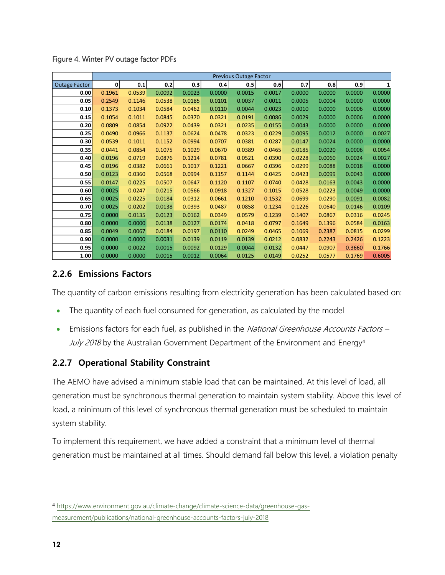|                      | Previous Outage Factor |        |        |        |        |        |        |        |        |        |        |
|----------------------|------------------------|--------|--------|--------|--------|--------|--------|--------|--------|--------|--------|
| <b>Outage Factor</b> | $\mathbf{0}$           | 0.1    | 0.2    | 0.3    | 0.4    | 0.5    | 0.6    | 0.7    | 0.8    | 0.9    | 1      |
| 0.00                 | 0.1961                 | 0.0539 | 0.0092 | 0.0023 | 0.0000 | 0.0015 | 0.0017 | 0.0000 | 0.0000 | 0.0000 | 0.0000 |
| 0.05                 | 0.2549                 | 0.1146 | 0.0538 | 0.0185 | 0.0101 | 0.0037 | 0.0011 | 0.0005 | 0.0004 | 0.0000 | 0.0000 |
| 0.10                 | 0.1373                 | 0.1034 | 0.0584 | 0.0462 | 0.0110 | 0.0044 | 0.0023 | 0.0010 | 0.0000 | 0.0006 | 0.0000 |
| 0.15                 | 0.1054                 | 0.1011 | 0.0845 | 0.0370 | 0.0321 | 0.0191 | 0.0086 | 0.0029 | 0.0000 | 0.0006 | 0.0000 |
| 0.20                 | 0.0809                 | 0.0854 | 0.0922 | 0.0439 | 0.0321 | 0.0235 | 0.0155 | 0.0043 | 0.0000 | 0.0000 | 0.0000 |
| 0.25                 | 0.0490                 | 0.0966 | 0.1137 | 0.0624 | 0.0478 | 0.0323 | 0.0229 | 0.0095 | 0.0012 | 0.0000 | 0.0027 |
| 0.30                 | 0.0539                 | 0.1011 | 0.1152 | 0.0994 | 0.0707 | 0.0381 | 0.0287 | 0.0147 | 0.0024 | 0.0000 | 0.0000 |
| 0.35                 | 0.0441                 | 0.0854 | 0.1075 | 0.1029 | 0.0670 | 0.0389 | 0.0465 | 0.0185 | 0.0020 | 0.0006 | 0.0054 |
| 0.40                 | 0.0196                 | 0.0719 | 0.0876 | 0.1214 | 0.0781 | 0.0521 | 0.0390 | 0.0228 | 0.0060 | 0.0024 | 0.0027 |
| 0.45                 | 0.0196                 | 0.0382 | 0.0661 | 0.1017 | 0.1221 | 0.0667 | 0.0396 | 0.0299 | 0.0088 | 0.0018 | 0.0000 |
| 0.50                 | 0.0123                 | 0.0360 | 0.0568 | 0.0994 | 0.1157 | 0.1144 | 0.0425 | 0.0423 | 0.0099 | 0.0043 | 0.0000 |
| 0.55                 | 0.0147                 | 0.0225 | 0.0507 | 0.0647 | 0.1120 | 0.1107 | 0.0740 | 0.0428 | 0.0163 | 0.0043 | 0.0000 |
| 0.60                 | 0.0025                 | 0.0247 | 0.0215 | 0.0566 | 0.0918 | 0.1327 | 0.1015 | 0.0528 | 0.0223 | 0.0049 | 0.0000 |
| 0.65                 | 0.0025                 | 0.0225 | 0.0184 | 0.0312 | 0.0661 | 0.1210 | 0.1532 | 0.0699 | 0.0290 | 0.0091 | 0.0082 |
| 0.70                 | 0.0025                 | 0.0202 | 0.0138 | 0.0393 | 0.0487 | 0.0858 | 0.1234 | 0.1226 | 0.0640 | 0.0146 | 0.0109 |
| 0.75                 | 0.0000                 | 0.0135 | 0.0123 | 0.0162 | 0.0349 | 0.0579 | 0.1239 | 0.1407 | 0.0867 | 0.0316 | 0.0245 |
| 0.80                 | 0.0000                 | 0.0000 | 0.0138 | 0.0127 | 0.0174 | 0.0418 | 0.0797 | 0.1649 | 0.1396 | 0.0584 | 0.0163 |
| 0.85                 | 0.0049                 | 0.0067 | 0.0184 | 0.0197 | 0.0110 | 0.0249 | 0.0465 | 0.1069 | 0.2387 | 0.0815 | 0.0299 |
| 0.90                 | 0.0000                 | 0.0000 | 0.0031 | 0.0139 | 0.0119 | 0.0139 | 0.0212 | 0.0832 | 0.2243 | 0.2426 | 0.1223 |
| 0.95                 | 0.0000                 | 0.0022 | 0.0015 | 0.0092 | 0.0129 | 0.0044 | 0.0132 | 0.0447 | 0.0907 | 0.3660 | 0.1766 |
| 1.00                 | 0.0000                 | 0.0000 | 0.0015 | 0.0012 | 0.0064 | 0.0125 | 0.0149 | 0.0252 | 0.0577 | 0.1769 | 0.6005 |

Figure 4. Winter PV outage factor PDFs

#### <span id="page-11-0"></span>**2.2.6 Emissions Factors**

The quantity of carbon emissions resulting from electricity generation has been calculated based on:

- The quantity of each fuel consumed for generation, as calculated by the model
- Emissions factors for each fuel, as published in the National Greenhouse Accounts Factors -July 2018 by the Australian Government Department of the Environment and Energy<sup>4</sup>

#### <span id="page-11-1"></span>**2.2.7 Operational Stability Constraint**

The AEMO have advised a minimum stable load that can be maintained. At this level of load, all generation must be synchronous thermal generation to maintain system stability. Above this level of load, a minimum of this level of synchronous thermal generation must be scheduled to maintain system stability.

To implement this requirement, we have added a constraint that a minimum level of thermal generation must be maintained at all times. Should demand fall below this level, a violation penalty

<sup>4</sup> [https://www.environment.gov.au/climate-change/climate-science-data/greenhouse-gas](https://www.environment.gov.au/climate-change/climate-science-data/greenhouse-gas-measurement/publications/national-greenhouse-accounts-factors-july-2018)[measurement/publications/national-greenhouse-accounts-factors-july-2018](https://www.environment.gov.au/climate-change/climate-science-data/greenhouse-gas-measurement/publications/national-greenhouse-accounts-factors-july-2018)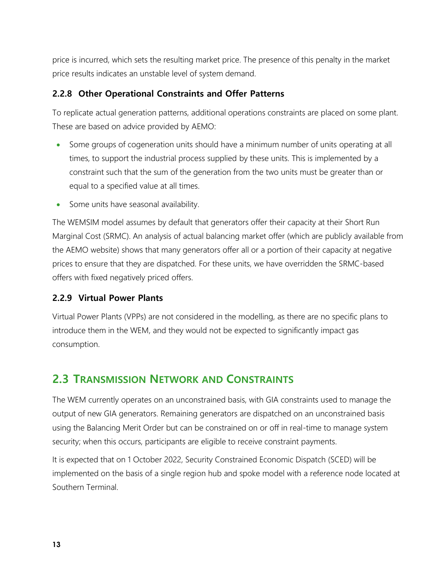price is incurred, which sets the resulting market price. The presence of this penalty in the market price results indicates an unstable level of system demand.

#### <span id="page-12-0"></span>**2.2.8 Other Operational Constraints and Offer Patterns**

To replicate actual generation patterns, additional operations constraints are placed on some plant. These are based on advice provided by AEMO:

- Some groups of cogeneration units should have a minimum number of units operating at all times, to support the industrial process supplied by these units. This is implemented by a constraint such that the sum of the generation from the two units must be greater than or equal to a specified value at all times.
- Some units have seasonal availability.

The WEMSIM model assumes by default that generators offer their capacity at their Short Run Marginal Cost (SRMC). An analysis of actual balancing market offer (which are publicly available from the AEMO website) shows that many generators offer all or a portion of their capacity at negative prices to ensure that they are dispatched. For these units, we have overridden the SRMC-based offers with fixed negatively priced offers.

#### <span id="page-12-1"></span>**2.2.9 Virtual Power Plants**

Virtual Power Plants (VPPs) are not considered in the modelling, as there are no specific plans to introduce them in the WEM, and they would not be expected to significantly impact gas consumption.

### <span id="page-12-2"></span>**2.3 TRANSMISSION NETWORK AND CONSTRAINTS**

The WEM currently operates on an unconstrained basis, with GIA constraints used to manage the output of new GIA generators. Remaining generators are dispatched on an unconstrained basis using the Balancing Merit Order but can be constrained on or off in real-time to manage system security; when this occurs, participants are eligible to receive constraint payments.

It is expected that on 1 October 2022, Security Constrained Economic Dispatch (SCED) will be implemented on the basis of a single region hub and spoke model with a reference node located at Southern Terminal.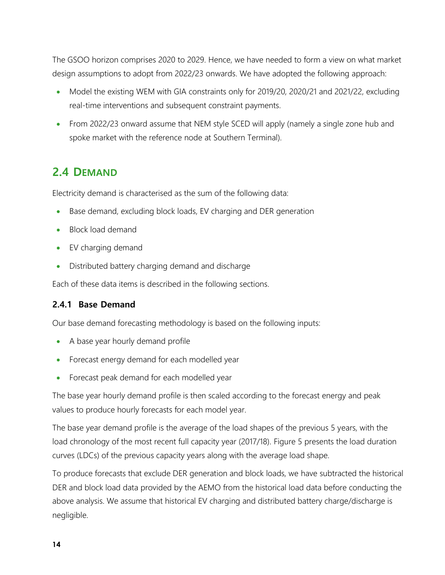The GSOO horizon comprises 2020 to 2029. Hence, we have needed to form a view on what market design assumptions to adopt from 2022/23 onwards. We have adopted the following approach:

- Model the existing WEM with GIA constraints only for 2019/20, 2020/21 and 2021/22, excluding real-time interventions and subsequent constraint payments.
- From 2022/23 onward assume that NEM style SCED will apply (namely a single zone hub and spoke market with the reference node at Southern Terminal).

## <span id="page-13-0"></span>**2.4 DEMAND**

Electricity demand is characterised as the sum of the following data:

- Base demand, excluding block loads, EV charging and DER generation
- Block load demand
- EV charging demand
- Distributed battery charging demand and discharge

Each of these data items is described in the following sections.

#### <span id="page-13-1"></span>**2.4.1 Base Demand**

Our base demand forecasting methodology is based on the following inputs:

- A base year hourly demand profile
- Forecast energy demand for each modelled year
- Forecast peak demand for each modelled year

The base year hourly demand profile is then scaled according to the forecast energy and peak values to produce hourly forecasts for each model year.

The base year demand profile is the average of the load shapes of the previous 5 years, with the load chronology of the most recent full capacity year (2017/18). [Figure 5](#page-14-0) presents the load duration curves (LDCs) of the previous capacity years along with the average load shape.

To produce forecasts that exclude DER generation and block loads, we have subtracted the historical DER and block load data provided by the AEMO from the historical load data before conducting the above analysis. We assume that historical EV charging and distributed battery charge/discharge is negligible.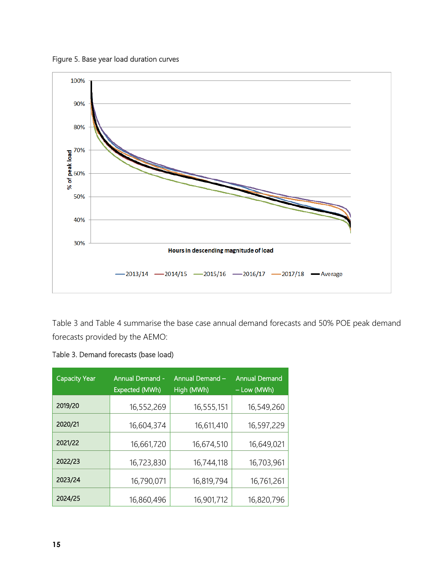<span id="page-14-0"></span>Figure 5. Base year load duration curves



[Table 3](#page-14-1) and [Table 4](#page-15-1) summarise the base case annual demand forecasts and 50% POE peak demand forecasts provided by the AEMO:

<span id="page-14-1"></span>

|  |  | Table 3. Demand forecasts (base load) |  |  |
|--|--|---------------------------------------|--|--|
|--|--|---------------------------------------|--|--|

| <b>Capacity Year</b> | <b>Annual Demand -</b><br>Expected (MWh) | Annual Demand -<br>High (MWh) | <b>Annual Demand</b><br>- Low (MWh) |
|----------------------|------------------------------------------|-------------------------------|-------------------------------------|
| 2019/20              | 16,552,269                               | 16,555,151                    | 16,549,260                          |
| 2020/21              | 16,604,374                               | 16,611,410                    | 16,597,229                          |
| 2021/22              | 16,661,720                               | 16,674,510                    | 16,649,021                          |
| 2022/23              | 16,723,830                               | 16,744,118                    | 16,703,961                          |
| 2023/24              | 16,790,071                               | 16,819,794                    | 16,761,261                          |
| 2024/25              | 16,860,496                               | 16,901,712                    | 16,820,796                          |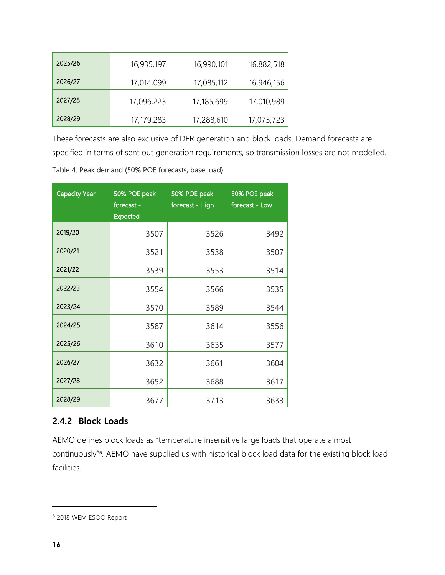| 2025/26 | 16,935,197 | 16,990,101 | 16,882,518 |
|---------|------------|------------|------------|
| 2026/27 | 17,014,099 | 17,085,112 | 16,946,156 |
| 2027/28 | 17,096,223 | 17,185,699 | 17,010,989 |
| 2028/29 | 17,179,283 | 17,288,610 | 17,075,723 |

These forecasts are also exclusive of DER generation and block loads. Demand forecasts are specified in terms of sent out generation requirements, so transmission losses are not modelled.

<span id="page-15-1"></span>Table 4. Peak demand (50% POE forecasts, base load)

| <b>Capacity Year</b> | 50% POE peak<br>forecast -<br><b>Expected</b> | 50% POE peak<br>forecast - High | 50% POE peak<br>forecast - Low |
|----------------------|-----------------------------------------------|---------------------------------|--------------------------------|
| 2019/20              | 3507                                          | 3526                            | 3492                           |
| 2020/21              | 3521                                          | 3538                            | 3507                           |
| 2021/22              | 3539                                          | 3553                            | 3514                           |
| 2022/23              | 3554                                          | 3566                            | 3535                           |
| 2023/24              | 3570                                          | 3589                            | 3544                           |
| 2024/25              | 3587                                          | 3614                            | 3556                           |
| 2025/26              | 3610                                          | 3635                            | 3577                           |
| 2026/27              | 3632                                          | 3661                            | 3604                           |
| 2027/28              | 3652                                          | 3688                            | 3617                           |
| 2028/29              | 3677                                          | 3713                            | 3633                           |

#### <span id="page-15-0"></span>**2.4.2 Block Loads**

AEMO defines block loads as "temperature insensitive large loads that operate almost continuously"<sup>5</sup> . AEMO have supplied us with historical block load data for the existing block load facilities.

<sup>5</sup> 2018 WEM ESOO Report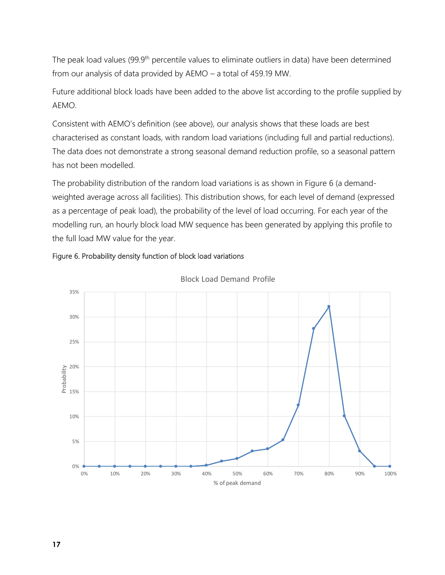The peak load values (99.9<sup>th</sup> percentile values to eliminate outliers in data) have been determined from our analysis of data provided by AEMO – a total of 459.19 MW.

Future additional block loads have been added to the above list according to the profile supplied by AEMO.

Consistent with AEMO's definition (see above), our analysis shows that these loads are best characterised as constant loads, with random load variations (including full and partial reductions). The data does not demonstrate a strong seasonal demand reduction profile, so a seasonal pattern has not been modelled.

The probability distribution of the random load variations is as shown in [Figure 6](#page-16-0) (a demandweighted average across all facilities). This distribution shows, for each level of demand (expressed as a percentage of peak load), the probability of the level of load occurring. For each year of the modelling run, an hourly block load MW sequence has been generated by applying this profile to the full load MW value for the year.

#### <span id="page-16-0"></span>Figure 6. Probability density function of block load variations



Block Load Demand Profile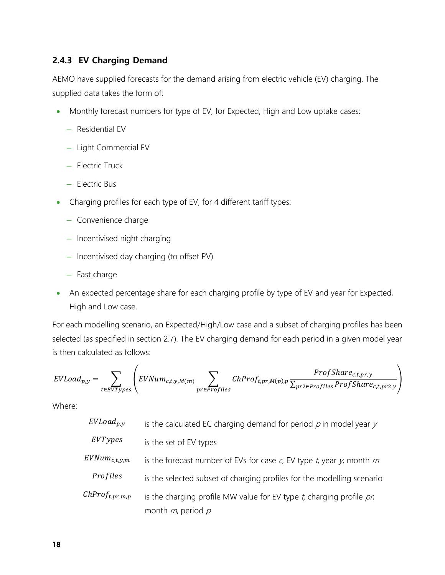#### <span id="page-17-0"></span>**2.4.3 EV Charging Demand**

AEMO have supplied forecasts for the demand arising from electric vehicle (EV) charging. The supplied data takes the form of:

- Monthly forecast numbers for type of EV, for Expected, High and Low uptake cases:
	- ─ Residential EV
	- ─ Light Commercial EV
	- ─ Electric Truck
	- ─ Electric Bus
- Charging profiles for each type of EV, for 4 different tariff types:
	- ─ Convenience charge
	- ─ Incentivised night charging
	- ─ Incentivised day charging (to offset PV)
	- ─ Fast charge
- An expected percentage share for each charging profile by type of EV and year for Expected, High and Low case.

For each modelling scenario, an Expected/High/Low case and a subset of charging profiles has been selected (as specified in section [2.7\)](#page-21-0). The EV charging demand for each period in a given model year is then calculated as follows:

$$
EVLoad_{p,y} = \sum_{t \in EVTypes} \left( EVNum_{c,t,y,M(m)} \sum_{pr \in Profiles} ChProf_{t,pr,M(p),p} \frac{ProfShare_{c,t,pr,y}}{\sum_{pr2 \in Profiles} ProfShare_{c,t,pr2,y}} \right)
$$

Where:

| $EVLoad_{p,y}$         | is the calculated EC charging demand for period $p$ in model year $y$                                    |
|------------------------|----------------------------------------------------------------------------------------------------------|
| EVTypes                | is the set of EV types                                                                                   |
| $EVNum_{c,t,y,m}$      | is the forecast number of EVs for case $c$ , EV type $t$ , year $y$ , month $m$                          |
| Profiles               | is the selected subset of charging profiles for the modelling scenario                                   |
| $ChProf_{t, pr, m, p}$ | is the charging profile MW value for EV type $t$ , charging profile $\rho r$ ,<br>month $m$ , period $p$ |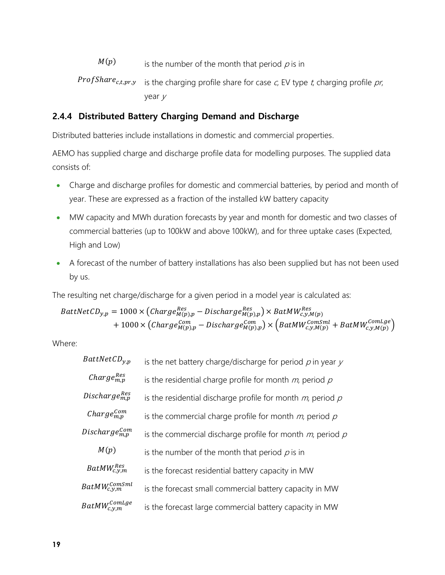- $M(p)$ is the number of the month that period  $\rho$  is in
- **Prof Share**<sub>c,t,pr,y</sub> is the charging profile share for case c, EV type t, charging profile pr, year <sup>y</sup>

#### <span id="page-18-0"></span>**2.4.4 Distributed Battery Charging Demand and Discharge**

Distributed batteries include installations in domestic and commercial properties.

AEMO has supplied charge and discharge profile data for modelling purposes. The supplied data consists of:

- Charge and discharge profiles for domestic and commercial batteries, by period and month of year. These are expressed as a fraction of the installed kW battery capacity
- MW capacity and MWh duration forecasts by year and month for domestic and two classes of commercial batteries (up to 100kW and above 100kW), and for three uptake cases (Expected, High and Low)
- A forecast of the number of battery installations has also been supplied but has not been used by us.

The resulting net charge/discharge for a given period in a model year is calculated as:

 $BattNetCD_{y,p}=1000\times\left(Change^{Res}_{M(p),p}-Discharge^{Res}_{M(p),p}\right)\times BatMW^{Res}_{c,y,M(p)}$  $+ \ 1000\times \left( \mathcal{C}harge^{Com}_{M(p),p} - \mathcal{D}i\mathcal{c}charge^{Com}_{M(p),p} \right) \times \left( \mathcal{B}atMW^{ComSml}_{c,y,M(p)} + \mathcal{B}atMW^{ComLge}_{c,y,M(p)} \right)$ 

Where:

| $BattNetCD_{v,p}$                  | is the net battery charge/discharge for period $\rho$ in year $\gamma$ |  |  |  |
|------------------------------------|------------------------------------------------------------------------|--|--|--|
| Charge $_{m,n}^{Res}$              | is the residential charge profile for month $m$ , period $p$           |  |  |  |
| Discharge $_{m,n}^{Res}$           | is the residential discharge profile for month $m$ , period $p$        |  |  |  |
| $charge_{m,p}^{Com}$               | is the commercial charge profile for month $m$ , period $p$            |  |  |  |
| Discharge $_{m,n}^{Com}$           | is the commercial discharge profile for month $m$ , period $p$         |  |  |  |
| M(p)                               | is the number of the month that period $p$ is in                       |  |  |  |
| $BatMW_{c.v.m}^{Res}$              | is the forecast residential battery capacity in MW                     |  |  |  |
| $BatMW_{c,\mathcal{V},m}^{ComSml}$ | is the forecast small commercial battery capacity in MW                |  |  |  |
| $BatMW^{ComLge}_{c.\mathcal{V}.m}$ | is the forecast large commercial battery capacity in MW                |  |  |  |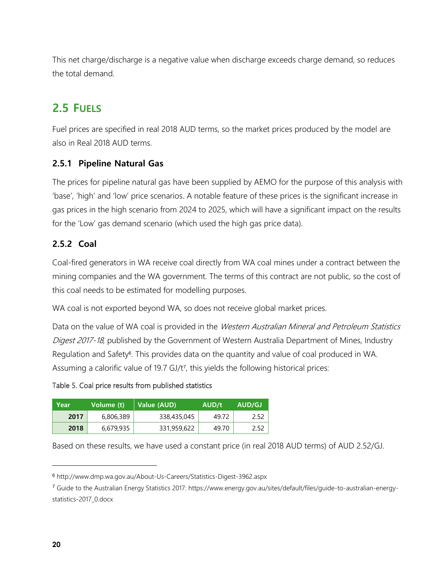This net charge/discharge is a negative value when discharge exceeds charge demand, so reduces the total demand.

## <span id="page-19-0"></span>**2.5 FUELS**

Fuel prices are specified in real 2018 AUD terms, so the market prices produced by the model are also in Real 2018 AUD terms.

#### <span id="page-19-1"></span>**2.5.1 Pipeline Natural Gas**

The prices for pipeline natural gas have been supplied by AEMO for the purpose of this analysis with 'base', 'high' and 'low' price scenarios. A notable feature of these prices is the significant increase in gas prices in the high scenario from 2024 to 2025, which will have a significant impact on the results for the 'Low' gas demand scenario (which used the high gas price data).

#### <span id="page-19-2"></span>**2.5.2 Coal**

Coal-fired generators in WA receive coal directly from WA coal mines under a contract between the mining companies and the WA government. The terms of this contract are not public, so the cost of this coal needs to be estimated for modelling purposes.

WA coal is not exported beyond WA, so does not receive global market prices.

Data on the value of WA coal is provided in the Western Australian Mineral and Petroleum Statistics Digest 2017-18, published by the Government of Western Australia Department of Mines, Industry Regulation and Safety<sup>6</sup>. This provides data on the quantity and value of coal produced in WA. Assuming a calorific value of 19.7 GJ/t<sup>7</sup> , this yields the following historical prices:

#### Table 5. Coal price results from published statistics

| Year | Volume (t) | Value (AUD) | AUD/t | AUD/GJ |
|------|------------|-------------|-------|--------|
| 2017 | 6,806,389  | 338,435,045 | 49.72 | 2.52   |
| 2018 | 6,679,935  | 331,959,622 | 49.70 | 2.52   |

Based on these results, we have used a constant price (in real 2018 AUD terms) of AUD 2.52/GJ.

<sup>6</sup> http://www.dmp.wa.gov.au/About-Us-Careers/Statistics-Digest-3962.aspx

<sup>7</sup> Guide to the Australian Energy Statistics 2017: https://www.energy.gov.au/sites/default/files/guide-to-australian-energystatistics-2017\_0.docx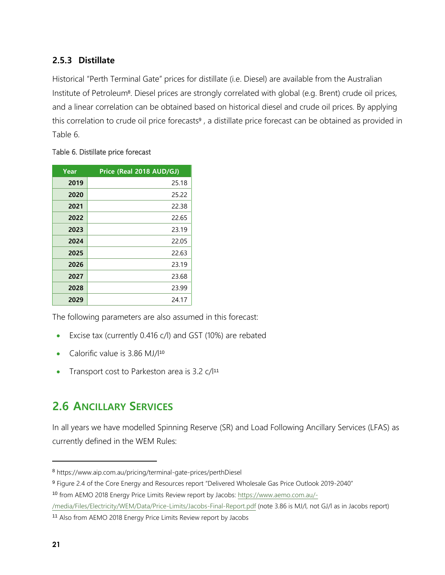#### <span id="page-20-0"></span>**2.5.3 Distillate**

Historical "Perth Terminal Gate" prices for distillate (i.e. Diesel) are available from the Australian Institute of Petroleum<sup>8</sup>. Diesel prices are strongly correlated with global (e.g. Brent) crude oil prices, and a linear correlation can be obtained based on historical diesel and crude oil prices. By applying this correlation to crude oil price forecasts<sup>9</sup>, a distillate price forecast can be obtained as provided in [Table 6.](#page-20-2)

#### <span id="page-20-2"></span>Table 6. Distillate price forecast

| Year | Price (Real 2018 AUD/GJ) |
|------|--------------------------|
| 2019 | 25.18                    |
| 2020 | 25.22                    |
| 2021 | 22.38                    |
| 2022 | 22.65                    |
| 2023 | 23.19                    |
| 2024 | 22.05                    |
| 2025 | 22.63                    |
| 2026 | 23.19                    |
| 2027 | 23.68                    |
| 2028 | 23.99                    |
| 2029 | 24.17                    |

The following parameters are also assumed in this forecast:

- Excise tax (currently 0.416 c/l) and GST (10%) are rebated
- Calorific value is 3.86 MJ/l<sup>10</sup>
- <span id="page-20-1"></span>• Transport cost to Parkeston area is 3.2 c/l<sup>11</sup>

## **2.6 ANCILLARY SERVICES**

In all years we have modelled Spinning Reserve (SR) and Load Following Ancillary Services (LFAS) as currently defined in the WEM Rules:

<sup>8</sup> https://www.aip.com.au/pricing/terminal-gate-prices/perthDiesel

<sup>9</sup> Figure 2.4 of the Core Energy and Resources report "Delivered Wholesale Gas Price Outlook 2019-2040"

<sup>10</sup> from AEMO 2018 Energy Price Limits Review report by Jacobs[: https://www.aemo.com.au/-](https://www.aemo.com.au/-/media/Files/Electricity/WEM/Data/Price-Limits/Jacobs-Final-Report.pdf)

[<sup>/</sup>media/Files/Electricity/WEM/Data/Price-Limits/Jacobs-Final-Report.pdf](https://www.aemo.com.au/-/media/Files/Electricity/WEM/Data/Price-Limits/Jacobs-Final-Report.pdf) (note 3.86 is MJ/l, not GJ/l as in Jacobs report)

<sup>11</sup> Also from AEMO 2018 Energy Price Limits Review report by Jacobs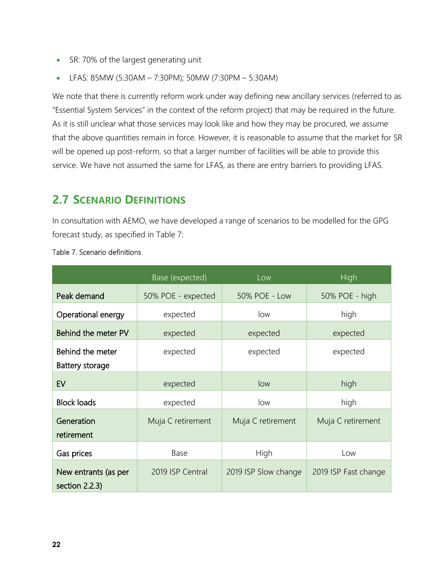- SR: 70% of the largest generating unit
- LFAS: 85MW (5:30AM 7:30PM); 50MW (7:30PM 5:30AM)

We note that there is currently reform work under way defining new ancillary services (referred to as "Essential System Services" in the context of the reform project) that may be required in the future. As it is still unclear what those services may look like and how they may be procured, we assume that the above quantities remain in force. However, it is reasonable to assume that the market for SR will be opened up post-reform, so that a larger number of facilities will be able to provide this service. We have not assumed the same for LFAS, as there are entry barriers to providing LFAS.

### <span id="page-21-0"></span>**2.7 SCENARIO DEFINITIONS**

In consultation with AEMO, we have developed a range of scenarios to be modelled for the GPG forecast study, as specified in [Table 7:](#page-21-1)

|                                                            | Base (expected)    | Low                  | High                 |
|------------------------------------------------------------|--------------------|----------------------|----------------------|
| Peak demand                                                | 50% POE - expected | 50% POE - Low        | 50% POE - high       |
| Operational energy                                         | expected           | low                  | high                 |
| Behind the meter PV                                        | expected           | expected             | expected             |
| Behind the meter                                           | expected           | expected             | expected             |
| Battery storage                                            |                    |                      |                      |
| EV                                                         | expected           | low                  | high                 |
| <b>Block loads</b>                                         | expected           | low                  | high                 |
| Generation<br>Muja C retirement<br>retirement              |                    | Muja C retirement    | Muja C retirement    |
| Base<br>Gas prices                                         |                    | High                 | l ow                 |
| 2019 ISP Central<br>New entrants (as per<br>section 2.2.3) |                    | 2019 ISP Slow change | 2019 ISP Fast change |

#### <span id="page-21-1"></span>Table 7. Scenario definitions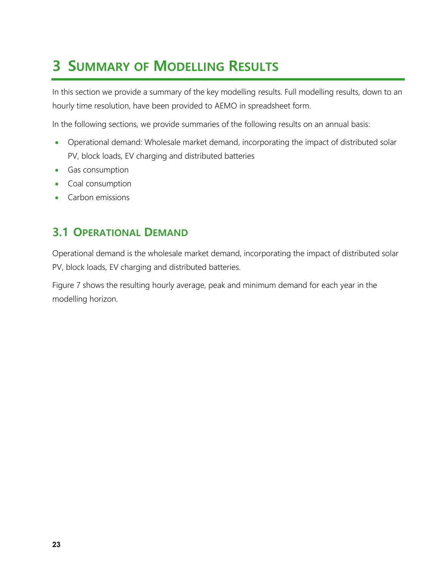## <span id="page-22-0"></span>**3 SUMMARY OF MODELLING RESULTS**

In this section we provide a summary of the key modelling results. Full modelling results, down to an hourly time resolution, have been provided to AEMO in spreadsheet form.

In the following sections, we provide summaries of the following results on an annual basis:

- Operational demand: Wholesale market demand, incorporating the impact of distributed solar PV, block loads, EV charging and distributed batteries
- Gas consumption
- Coal consumption
- <span id="page-22-1"></span>• Carbon emissions

### **3.1 OPERATIONAL DEMAND**

Operational demand is the wholesale market demand, incorporating the impact of distributed solar PV, block loads, EV charging and distributed batteries.

[Figure 7](#page-23-0) shows the resulting hourly average, peak and minimum demand for each year in the modelling horizon.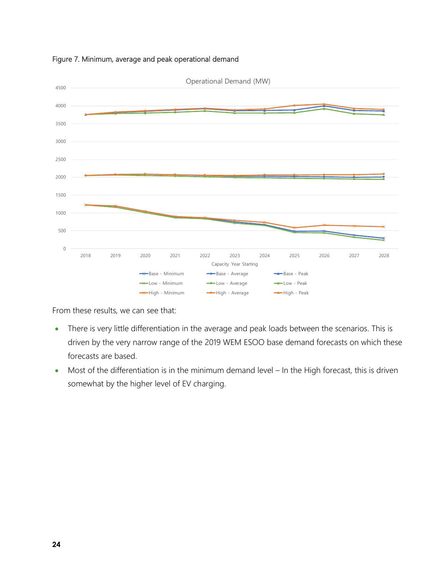

#### <span id="page-23-0"></span>Figure 7. Minimum, average and peak operational demand

From these results, we can see that:

- There is very little differentiation in the average and peak loads between the scenarios. This is driven by the very narrow range of the 2019 WEM ESOO base demand forecasts on which these forecasts are based.
- Most of the differentiation is in the minimum demand level In the High forecast, this is driven somewhat by the higher level of EV charging.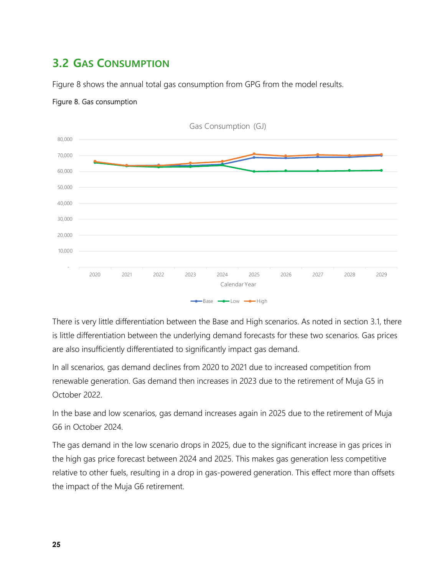## <span id="page-24-0"></span>**3.2 GAS CONSUMPTION**

[Figure 8](#page-24-1) shows the annual total gas consumption from GPG from the model results.



#### <span id="page-24-1"></span>Figure 8. Gas consumption

There is very little differentiation between the Base and High scenarios. As noted in section [3.1,](#page-22-1) there is little differentiation between the underlying demand forecasts for these two scenarios. Gas prices are also insufficiently differentiated to significantly impact gas demand.

In all scenarios, gas demand declines from 2020 to 2021 due to increased competition from renewable generation. Gas demand then increases in 2023 due to the retirement of Muja G5 in October 2022.

In the base and low scenarios, gas demand increases again in 2025 due to the retirement of Muja G6 in October 2024.

The gas demand in the low scenario drops in 2025, due to the significant increase in gas prices in the high gas price forecast between 2024 and 2025. This makes gas generation less competitive relative to other fuels, resulting in a drop in gas-powered generation. This effect more than offsets the impact of the Muja G6 retirement.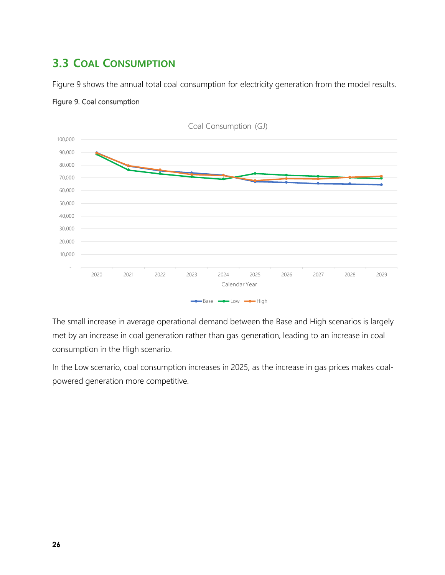## <span id="page-25-0"></span>**3.3 COAL CONSUMPTION**

[Figure 9](#page-25-1) shows the annual total coal consumption for electricity generation from the model results.



#### <span id="page-25-1"></span>Figure 9. Coal consumption

The small increase in average operational demand between the Base and High scenarios is largely met by an increase in coal generation rather than gas generation, leading to an increase in coal consumption in the High scenario.

In the Low scenario, coal consumption increases in 2025, as the increase in gas prices makes coalpowered generation more competitive.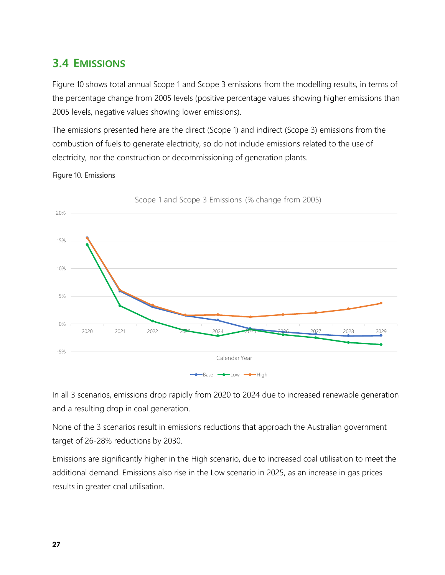## <span id="page-26-0"></span>**3.4 EMISSIONS**

[Figure 10](#page-26-1) shows total annual Scope 1 and Scope 3 emissions from the modelling results, in terms of the percentage change from 2005 levels (positive percentage values showing higher emissions than 2005 levels, negative values showing lower emissions).

The emissions presented here are the direct (Scope 1) and indirect (Scope 3) emissions from the combustion of fuels to generate electricity, so do not include emissions related to the use of electricity, nor the construction or decommissioning of generation plants.

#### <span id="page-26-1"></span>Figure 10. Emissions



Scope 1 and Scope 3 Emissions (% change from 2005)

In all 3 scenarios, emissions drop rapidly from 2020 to 2024 due to increased renewable generation and a resulting drop in coal generation.

None of the 3 scenarios result in emissions reductions that approach the Australian government target of 26-28% reductions by 2030.

Emissions are significantly higher in the High scenario, due to increased coal utilisation to meet the additional demand. Emissions also rise in the Low scenario in 2025, as an increase in gas prices results in greater coal utilisation.